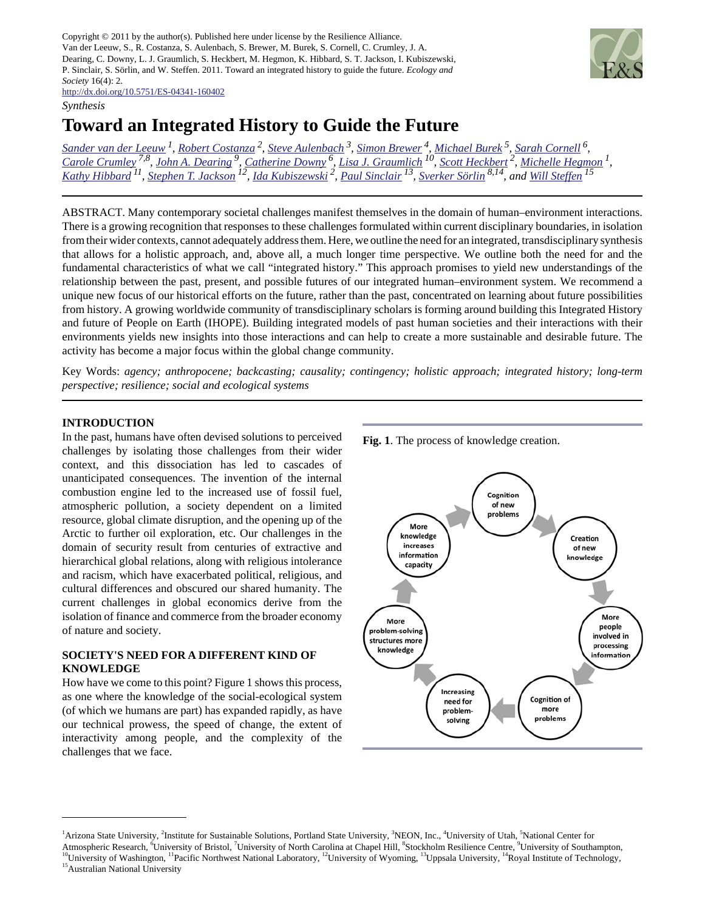Copyright © 2011 by the author(s). Published here under license by the Resilience Alliance. Van der Leeuw, S., R. Costanza, S. Aulenbach, S. Brewer, M. Burek, S. Cornell, C. Crumley, J. A. Dearing, C. Downy, L. J. Graumlich, S. Heckbert, M. Hegmon, K. Hibbard, S. T. Jackson, I. Kubiszewski, P. Sinclair, S. Sörlin, and W. Steffen. 2011. Toward an integrated history to guide the future. *Ecology and Society* 16(4): 2. <http://dx.doi.org/10.5751/ES-04341-160402>



#### *Synthesis*

# **Toward an Integrated History to Guide the Future**

<u>[Sander van der Leeuw](mailto:vanderle@asu.edu) <sup>1</sup>, [Robert Costanza](mailto:robert.costanza@pdx.edu) <sup>2</sup>, <u>[Steve Aulenbach](mailto:saulenbach@neoninc.org) <sup>3</sup>, [Simon Brewer](mailto:simon.brewer@geog.utah.edu) <sup>4</sup>, [Michael Burek](mailto:mburek@ucar.edu) <sup>5</sup>, <u>Sarah Cornell</u> <sup>6</sup></u></u> *,*  [Carole Crumley](mailto:crumley@unc.edu)<sup>7,8</sup>, [John A. Dearing](mailto:j.dearing@soton.ac.uk)<sup>9</sup>, [Catherine Downy](mailto:cat.downy@bristol.ac.uk)<sup>6</sup>, [Lisa J. Graumlich](mailto:envdean@uw.edu)<sup>10</sup>, [Scott Heckbert](mailto:scott.heckbert@gmail.com)<sup>2</sup>, [Michelle Hegmon](mailto:Michelle.Hegmon@asu.edu)<sup>1</sup>, [Kathy Hibbard](mailto:kathy.hibbard@pnl.gov) <sup>11</sup>, [Stephen T. Jackson](mailto:jackson@uwyo.edu) <sup>12</sup>, [Ida Kubiszewski](mailto:ida.kub@gmail.com) <sup>2</sup>, [Paul Sinclair](mailto:Paul.Sinclair@arkeologi.uu.se) <sup>13</sup>, [Sverker Sörlin](mailto:sorlin@kth.se) <sup>8,14</sup>, and [Will Steffen](mailto:will.steffen@anu.edu.au) <sup>15</sup>

ABSTRACT. Many contemporary societal challenges manifest themselves in the domain of human–environment interactions. There is a growing recognition that responses to these challenges formulated within current disciplinary boundaries, in isolation from their wider contexts, cannot adequately address them. Here, we outline the need for an integrated, transdisciplinary synthesis that allows for a holistic approach, and, above all, a much longer time perspective. We outline both the need for and the fundamental characteristics of what we call "integrated history." This approach promises to yield new understandings of the relationship between the past, present, and possible futures of our integrated human–environment system. We recommend a unique new focus of our historical efforts on the future, rather than the past, concentrated on learning about future possibilities from history. A growing worldwide community of transdisciplinary scholars is forming around building this Integrated History and future of People on Earth (IHOPE). Building integrated models of past human societies and their interactions with their environments yields new insights into those interactions and can help to create a more sustainable and desirable future. The activity has become a major focus within the global change community.

Key Words: *agency; anthropocene; backcasting; causality; contingency; holistic approach; integrated history; long-term perspective; resilience; social and ecological systems*

## **INTRODUCTION**

In the past, humans have often devised solutions to perceived challenges by isolating those challenges from their wider context, and this dissociation has led to cascades of unanticipated consequences. The invention of the internal combustion engine led to the increased use of fossil fuel, atmospheric pollution, a society dependent on a limited resource, global climate disruption, and the opening up of the Arctic to further oil exploration, etc. Our challenges in the domain of security result from centuries of extractive and hierarchical global relations, along with religious intolerance and racism, which have exacerbated political, religious, and cultural differences and obscured our shared humanity. The current challenges in global economics derive from the isolation of finance and commerce from the broader economy of nature and society.

## **SOCIETY'S NEED FOR A DIFFERENT KIND OF KNOWLEDGE**

How have we come to this point? Figure 1 shows this process, as one where the knowledge of the social-ecological system (of which we humans are part) has expanded rapidly, as have our technical prowess, the speed of change, the extent of interactivity among people, and the complexity of the challenges that we face.





<sup>&</sup>lt;sup>1</sup>Arizona State University, <sup>2</sup>Institute for Sustainable Solutions, Portland State University, <sup>3</sup>NEON, Inc., <sup>4</sup>University of Utah, <sup>5</sup>National Center for Atmospheric Research, <sup>6</sup>University of Bristol, <sup>7</sup>University of North Carolina at Chapel Hill, <sup>8</sup>Stockholm Resilience Centre, <sup>9</sup>University of Southampton, <sup>10</sup>University of Washington, <sup>11</sup>Pacific Northwest National Laboratory, <sup>12</sup>University of Wyoming, <sup>13</sup>Uppsala University, <sup>14</sup>Royal Institute of Technology,

<sup>&</sup>lt;sup>15</sup>Australian National University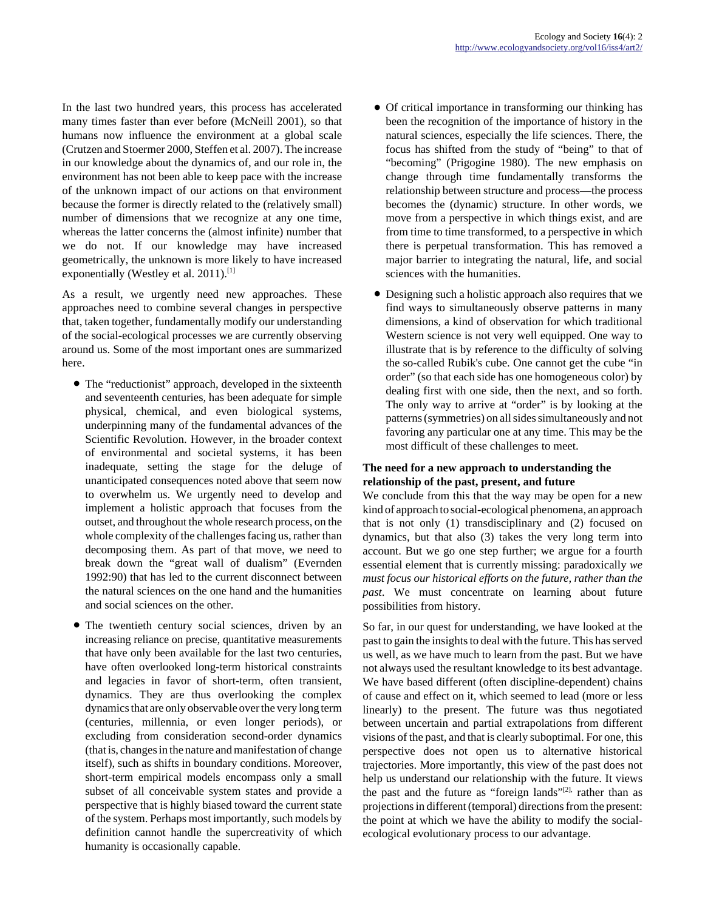In the last two hundred years, this process has accelerated many times faster than ever before (McNeill 2001), so that humans now influence the environment at a global scale (Crutzen and Stoermer 2000, Steffen et al. 2007). The increase in our knowledge about the dynamics of, and our role in, the environment has not been able to keep pace with the increase of the unknown impact of our actions on that environment because the former is directly related to the (relatively small) number of dimensions that we recognize at any one time, whereas the latter concerns the (almost infinite) number that we do not. If our knowledge may have increased geometrically, the unknown is more likely to have increased exponentially (Westley et al. 2011).<sup>[1]</sup>

As a result, we urgently need new approaches. These approaches need to combine several changes in perspective that, taken together, fundamentally modify our understanding of the social-ecological processes we are currently observing around us. Some of the most important ones are summarized here.

- The "reductionist" approach, developed in the sixteenth and seventeenth centuries, has been adequate for simple physical, chemical, and even biological systems, underpinning many of the fundamental advances of the Scientific Revolution. However, in the broader context of environmental and societal systems, it has been inadequate, setting the stage for the deluge of unanticipated consequences noted above that seem now to overwhelm us. We urgently need to develop and implement a holistic approach that focuses from the outset, and throughout the whole research process, on the whole complexity of the challenges facing us, rather than decomposing them. As part of that move, we need to break down the "great wall of dualism" (Evernden 1992:90) that has led to the current disconnect between the natural sciences on the one hand and the humanities and social sciences on the other.
- The twentieth century social sciences, driven by an increasing reliance on precise, quantitative measurements that have only been available for the last two centuries, have often overlooked long-term historical constraints and legacies in favor of short-term, often transient, dynamics. They are thus overlooking the complex dynamics that are only observable over the very long term (centuries, millennia, or even longer periods), or excluding from consideration second-order dynamics (that is, changes in the nature and manifestation of change itself), such as shifts in boundary conditions. Moreover, short-term empirical models encompass only a small subset of all conceivable system states and provide a perspective that is highly biased toward the current state of the system. Perhaps most importantly, such models by definition cannot handle the supercreativity of which humanity is occasionally capable.
- Of critical importance in transforming our thinking has been the recognition of the importance of history in the natural sciences, especially the life sciences. There, the focus has shifted from the study of "being" to that of "becoming" (Prigogine 1980). The new emphasis on change through time fundamentally transforms the relationship between structure and process—the process becomes the (dynamic) structure. In other words, we move from a perspective in which things exist, and are from time to time transformed, to a perspective in which there is perpetual transformation. This has removed a major barrier to integrating the natural, life, and social sciences with the humanities.
- Designing such a holistic approach also requires that we find ways to simultaneously observe patterns in many dimensions, a kind of observation for which traditional Western science is not very well equipped. One way to illustrate that is by reference to the difficulty of solving the so-called Rubik's cube. One cannot get the cube "in order" (so that each side has one homogeneous color) by dealing first with one side, then the next, and so forth. The only way to arrive at "order" is by looking at the patterns (symmetries) on all sides simultaneously and not favoring any particular one at any time. This may be the most difficult of these challenges to meet.

## **The need for a new approach to understanding the relationship of the past, present, and future**

We conclude from this that the way may be open for a new kind of approach to social-ecological phenomena, an approach that is not only (1) transdisciplinary and (2) focused on dynamics, but that also (3) takes the very long term into account. But we go one step further; we argue for a fourth essential element that is currently missing: paradoxically *we must focus our historical efforts on the future, rather than the past*. We must concentrate on learning about future possibilities from history.

So far, in our quest for understanding, we have looked at the past to gain the insights to deal with the future. This has served us well, as we have much to learn from the past. But we have not always used the resultant knowledge to its best advantage. We have based different (often discipline-dependent) chains of cause and effect on it, which seemed to lead (more or less linearly) to the present. The future was thus negotiated between uncertain and partial extrapolations from different visions of the past, and that is clearly suboptimal. For one, this perspective does not open us to alternative historical trajectories. More importantly, this view of the past does not help us understand our relationship with the future. It views the past and the future as "foreign lands"<sup>[2],</sup> rather than as projections in different (temporal) directions from the present: the point at which we have the ability to modify the socialecological evolutionary process to our advantage.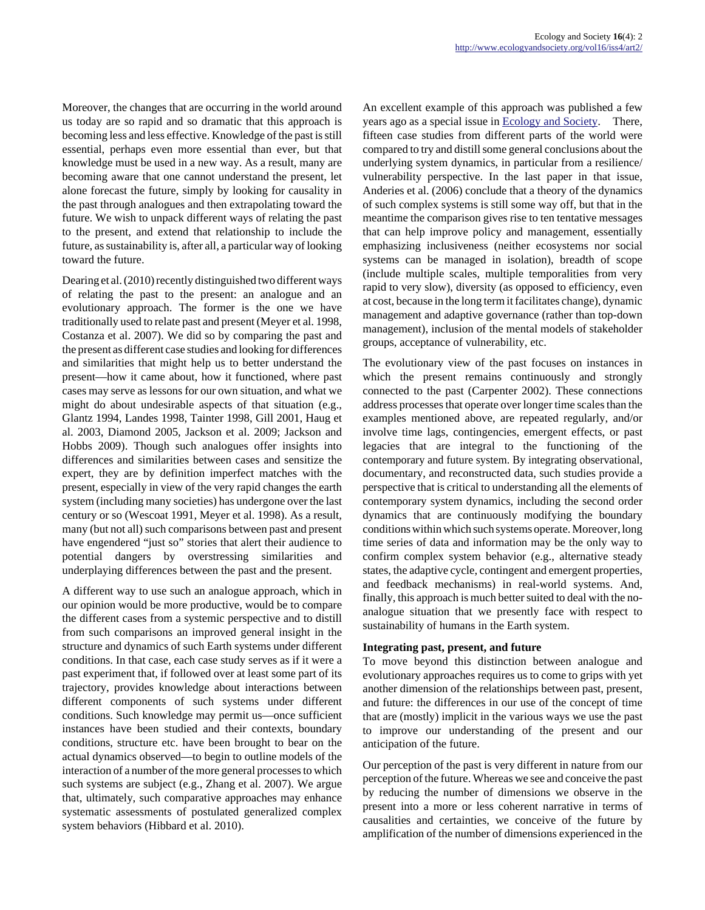Moreover, the changes that are occurring in the world around us today are so rapid and so dramatic that this approach is becoming less and less effective. Knowledge of the past is still essential, perhaps even more essential than ever, but that knowledge must be used in a new way. As a result, many are becoming aware that one cannot understand the present, let alone forecast the future, simply by looking for causality in the past through analogues and then extrapolating toward the future. We wish to unpack different ways of relating the past to the present, and extend that relationship to include the future, as sustainability is, after all, a particular way of looking toward the future.

Dearing et al. (2010) recently distinguished two different ways of relating the past to the present: an analogue and an evolutionary approach. The former is the one we have traditionally used to relate past and present (Meyer et al. 1998, Costanza et al. 2007). We did so by comparing the past and the present as different case studies and looking for differences and similarities that might help us to better understand the present—how it came about, how it functioned, where past cases may serve as lessons for our own situation, and what we might do about undesirable aspects of that situation (e.g., Glantz 1994, Landes 1998, Tainter 1998, Gill 2001, Haug et al. 2003, Diamond 2005, Jackson et al. 2009; Jackson and Hobbs 2009). Though such analogues offer insights into differences and similarities between cases and sensitize the expert, they are by definition imperfect matches with the present, especially in view of the very rapid changes the earth system (including many societies) has undergone over the last century or so (Wescoat 1991, Meyer et al. 1998). As a result, many (but not all) such comparisons between past and present have engendered "just so" stories that alert their audience to potential dangers by overstressing similarities and underplaying differences between the past and the present.

A different way to use such an analogue approach, which in our opinion would be more productive, would be to compare the different cases from a systemic perspective and to distill from such comparisons an improved general insight in the structure and dynamics of such Earth systems under different conditions. In that case, each case study serves as if it were a past experiment that, if followed over at least some part of its trajectory, provides knowledge about interactions between different components of such systems under different conditions. Such knowledge may permit us—once sufficient instances have been studied and their contexts, boundary conditions, structure etc. have been brought to bear on the actual dynamics observed—to begin to outline models of the interaction of a number of the more general processes to which such systems are subject (e.g., Zhang et al. 2007). We argue that, ultimately, such comparative approaches may enhance systematic assessments of postulated generalized complex system behaviors (Hibbard et al. 2010).

An excellent example of this approach was published a few years ago as a special issue in [Ecology and Society](http://www.ecologyandsociety.org/issues/view.php?sf=22). There, fifteen case studies from different parts of the world were compared to try and distill some general conclusions about the underlying system dynamics, in particular from a resilience/ vulnerability perspective. In the last paper in that issue, Anderies et al. (2006) conclude that a theory of the dynamics of such complex systems is still some way off, but that in the meantime the comparison gives rise to ten tentative messages that can help improve policy and management, essentially emphasizing inclusiveness (neither ecosystems nor social systems can be managed in isolation), breadth of scope (include multiple scales, multiple temporalities from very rapid to very slow), diversity (as opposed to efficiency, even at cost, because in the long term it facilitates change), dynamic management and adaptive governance (rather than top-down management), inclusion of the mental models of stakeholder groups, acceptance of vulnerability, etc.

The evolutionary view of the past focuses on instances in which the present remains continuously and strongly connected to the past (Carpenter 2002). These connections address processes that operate over longer time scales than the examples mentioned above, are repeated regularly, and/or involve time lags, contingencies, emergent effects, or past legacies that are integral to the functioning of the contemporary and future system. By integrating observational, documentary, and reconstructed data, such studies provide a perspective that is critical to understanding all the elements of contemporary system dynamics, including the second order dynamics that are continuously modifying the boundary conditions within which such systems operate. Moreover, long time series of data and information may be the only way to confirm complex system behavior (e.g., alternative steady states, the adaptive cycle, contingent and emergent properties, and feedback mechanisms) in real-world systems. And, finally, this approach is much better suited to deal with the noanalogue situation that we presently face with respect to sustainability of humans in the Earth system.

## **Integrating past, present, and future**

To move beyond this distinction between analogue and evolutionary approaches requires us to come to grips with yet another dimension of the relationships between past, present, and future: the differences in our use of the concept of time that are (mostly) implicit in the various ways we use the past to improve our understanding of the present and our anticipation of the future.

Our perception of the past is very different in nature from our perception of the future. Whereas we see and conceive the past by reducing the number of dimensions we observe in the present into a more or less coherent narrative in terms of causalities and certainties, we conceive of the future by amplification of the number of dimensions experienced in the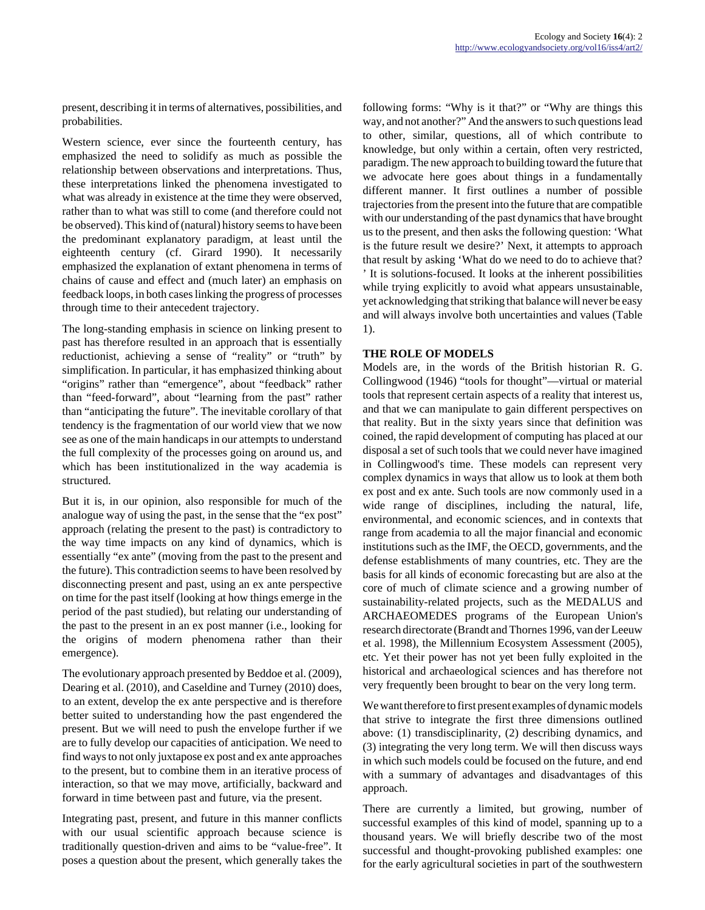present, describing it in terms of alternatives, possibilities, and probabilities.

Western science, ever since the fourteenth century, has emphasized the need to solidify as much as possible the relationship between observations and interpretations. Thus, these interpretations linked the phenomena investigated to what was already in existence at the time they were observed, rather than to what was still to come (and therefore could not be observed). This kind of (natural) history seems to have been the predominant explanatory paradigm, at least until the eighteenth century (cf. Girard 1990). It necessarily emphasized the explanation of extant phenomena in terms of chains of cause and effect and (much later) an emphasis on feedback loops, in both cases linking the progress of processes through time to their antecedent trajectory.

The long-standing emphasis in science on linking present to past has therefore resulted in an approach that is essentially reductionist, achieving a sense of "reality" or "truth" by simplification. In particular, it has emphasized thinking about "origins" rather than "emergence", about "feedback" rather than "feed-forward", about "learning from the past" rather than "anticipating the future". The inevitable corollary of that tendency is the fragmentation of our world view that we now see as one of the main handicaps in our attempts to understand the full complexity of the processes going on around us, and which has been institutionalized in the way academia is structured.

But it is, in our opinion, also responsible for much of the analogue way of using the past, in the sense that the "ex post" approach (relating the present to the past) is contradictory to the way time impacts on any kind of dynamics, which is essentially "ex ante" (moving from the past to the present and the future). This contradiction seems to have been resolved by disconnecting present and past, using an ex ante perspective on time for the past itself (looking at how things emerge in the period of the past studied), but relating our understanding of the past to the present in an ex post manner (i.e., looking for the origins of modern phenomena rather than their emergence).

The evolutionary approach presented by Beddoe et al. (2009), Dearing et al. (2010), and Caseldine and Turney (2010) does, to an extent, develop the ex ante perspective and is therefore better suited to understanding how the past engendered the present. But we will need to push the envelope further if we are to fully develop our capacities of anticipation. We need to find ways to not only juxtapose ex post and ex ante approaches to the present, but to combine them in an iterative process of interaction, so that we may move, artificially, backward and forward in time between past and future, via the present.

Integrating past, present, and future in this manner conflicts with our usual scientific approach because science is traditionally question-driven and aims to be "value-free". It poses a question about the present, which generally takes the following forms: "Why is it that?" or "Why are things this way, and not another?" And the answers to such questions lead to other, similar, questions, all of which contribute to knowledge, but only within a certain, often very restricted, paradigm. The new approach to building toward the future that we advocate here goes about things in a fundamentally different manner. It first outlines a number of possible trajectories from the present into the future that are compatible with our understanding of the past dynamics that have brought us to the present, and then asks the following question: 'What is the future result we desire?' Next, it attempts to approach that result by asking 'What do we need to do to achieve that? ' It is solutions-focused. It looks at the inherent possibilities while trying explicitly to avoid what appears unsustainable, yet acknowledging that striking that balance will never be easy and will always involve both uncertainties and values (Table 1).

## **THE ROLE OF MODELS**

Models are, in the words of the British historian R. G. Collingwood (1946) "tools for thought"—virtual or material tools that represent certain aspects of a reality that interest us, and that we can manipulate to gain different perspectives on that reality. But in the sixty years since that definition was coined, the rapid development of computing has placed at our disposal a set of such tools that we could never have imagined in Collingwood's time. These models can represent very complex dynamics in ways that allow us to look at them both ex post and ex ante. Such tools are now commonly used in a wide range of disciplines, including the natural, life, environmental, and economic sciences, and in contexts that range from academia to all the major financial and economic institutions such as the IMF, the OECD, governments, and the defense establishments of many countries, etc. They are the basis for all kinds of economic forecasting but are also at the core of much of climate science and a growing number of sustainability-related projects, such as the MEDALUS and ARCHAEOMEDES programs of the European Union's research directorate (Brandt and Thornes 1996, van der Leeuw et al. 1998), the Millennium Ecosystem Assessment (2005), etc. Yet their power has not yet been fully exploited in the historical and archaeological sciences and has therefore not very frequently been brought to bear on the very long term.

We want therefore to first present examples of dynamic models that strive to integrate the first three dimensions outlined above: (1) transdisciplinarity, (2) describing dynamics, and (3) integrating the very long term. We will then discuss ways in which such models could be focused on the future, and end with a summary of advantages and disadvantages of this approach.

There are currently a limited, but growing, number of successful examples of this kind of model, spanning up to a thousand years. We will briefly describe two of the most successful and thought-provoking published examples: one for the early agricultural societies in part of the southwestern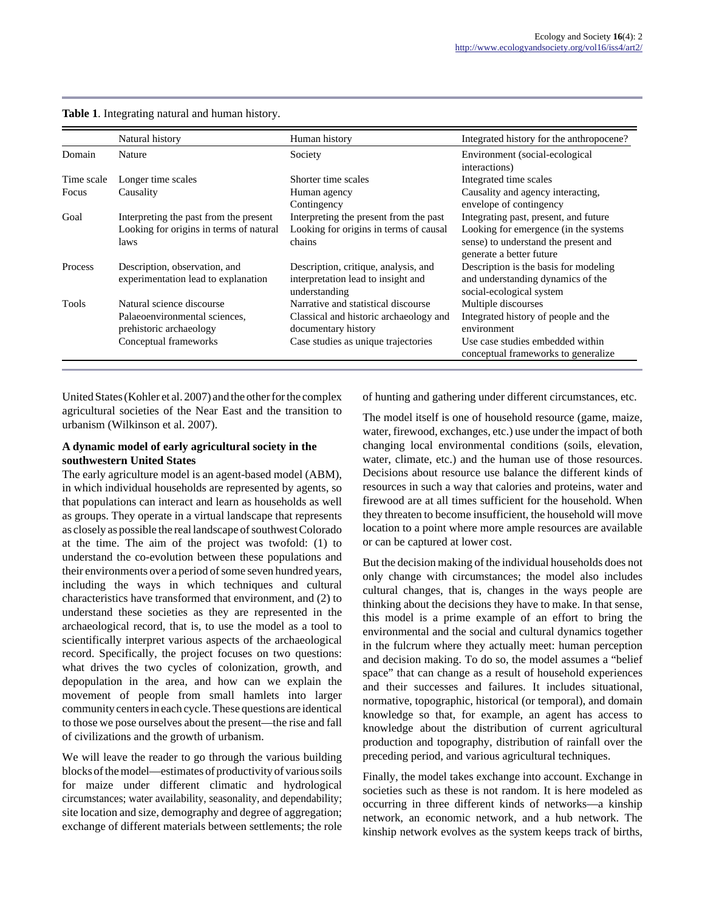|            | Natural history                                                                                                | Human history                                                                                                                               | Integrated history for the anthropocene?                                                                                                              |
|------------|----------------------------------------------------------------------------------------------------------------|---------------------------------------------------------------------------------------------------------------------------------------------|-------------------------------------------------------------------------------------------------------------------------------------------------------|
| Domain     | Nature                                                                                                         | Society                                                                                                                                     | Environment (social-ecological<br>interactions)                                                                                                       |
| Time scale | Longer time scales                                                                                             | Shorter time scales                                                                                                                         | Integrated time scales                                                                                                                                |
| Focus      | Causality                                                                                                      | Human agency<br>Contingency                                                                                                                 | Causality and agency interacting,<br>envelope of contingency                                                                                          |
| Goal       | Interpreting the past from the present<br>Looking for origins in terms of natural<br>laws                      | Interpreting the present from the past<br>Looking for origins in terms of causal<br>chains                                                  | Integrating past, present, and future<br>Looking for emergence (in the systems<br>sense) to understand the present and<br>generate a better future    |
| Process    | Description, observation, and<br>experimentation lead to explanation                                           | Description, critique, analysis, and<br>interpretation lead to insight and<br>understanding                                                 | Description is the basis for modeling<br>and understanding dynamics of the<br>social-ecological system                                                |
| Tools      | Natural science discourse<br>Palaeoenvironmental sciences,<br>prehistoric archaeology<br>Conceptual frameworks | Narrative and statistical discourse<br>Classical and historic archaeology and<br>documentary history<br>Case studies as unique trajectories | Multiple discourses<br>Integrated history of people and the<br>environment<br>Use case studies embedded within<br>conceptual frameworks to generalize |

**Table 1**. Integrating natural and human history.

United States (Kohler et al. 2007) and the other for the complex agricultural societies of the Near East and the transition to urbanism (Wilkinson et al. 2007).

## **A dynamic model of early agricultural society in the southwestern United States**

The early agriculture model is an agent-based model (ABM), in which individual households are represented by agents, so that populations can interact and learn as households as well as groups. They operate in a virtual landscape that represents as closely as possible the real landscape of southwest Colorado at the time. The aim of the project was twofold: (1) to understand the co-evolution between these populations and their environments over a period of some seven hundred years, including the ways in which techniques and cultural characteristics have transformed that environment, and (2) to understand these societies as they are represented in the archaeological record, that is, to use the model as a tool to scientifically interpret various aspects of the archaeological record. Specifically, the project focuses on two questions: what drives the two cycles of colonization, growth, and depopulation in the area, and how can we explain the movement of people from small hamlets into larger community centers in each cycle. These questions are identical to those we pose ourselves about the present—the rise and fall of civilizations and the growth of urbanism.

We will leave the reader to go through the various building blocks of the model—estimates of productivity of various soils for maize under different climatic and hydrological circumstances; water availability, seasonality, and dependability; site location and size, demography and degree of aggregation; exchange of different materials between settlements; the role of hunting and gathering under different circumstances, etc.

The model itself is one of household resource (game, maize, water, firewood, exchanges, etc.) use under the impact of both changing local environmental conditions (soils, elevation, water, climate, etc.) and the human use of those resources. Decisions about resource use balance the different kinds of resources in such a way that calories and proteins, water and firewood are at all times sufficient for the household. When they threaten to become insufficient, the household will move location to a point where more ample resources are available or can be captured at lower cost.

But the decision making of the individual households does not only change with circumstances; the model also includes cultural changes, that is, changes in the ways people are thinking about the decisions they have to make. In that sense, this model is a prime example of an effort to bring the environmental and the social and cultural dynamics together in the fulcrum where they actually meet: human perception and decision making. To do so, the model assumes a "belief space" that can change as a result of household experiences and their successes and failures. It includes situational, normative, topographic, historical (or temporal), and domain knowledge so that, for example, an agent has access to knowledge about the distribution of current agricultural production and topography, distribution of rainfall over the preceding period, and various agricultural techniques.

Finally, the model takes exchange into account. Exchange in societies such as these is not random. It is here modeled as occurring in three different kinds of networks—a kinship network, an economic network, and a hub network. The kinship network evolves as the system keeps track of births,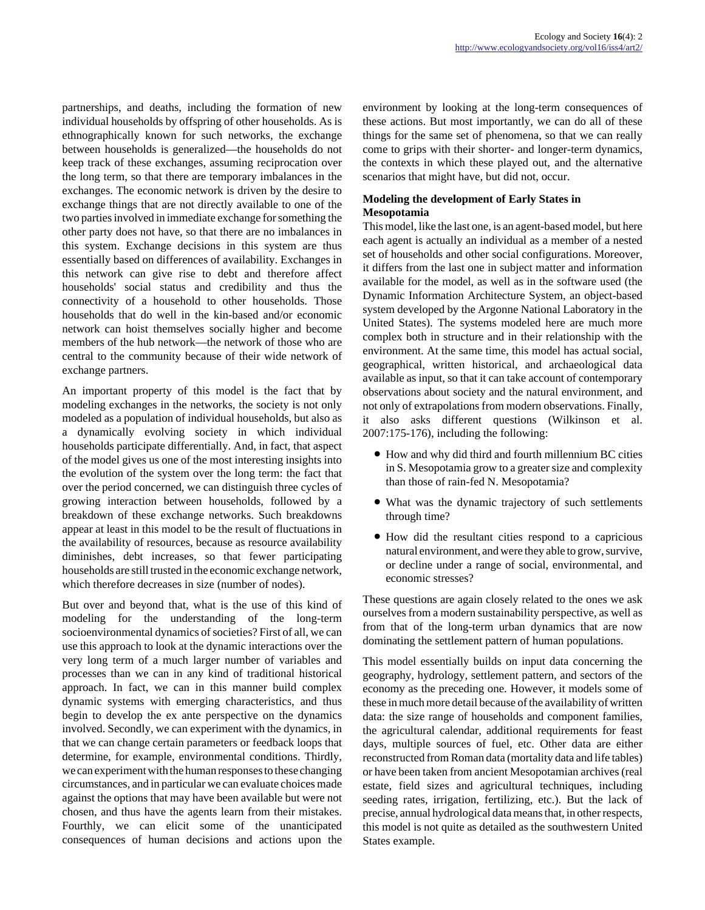partnerships, and deaths, including the formation of new individual households by offspring of other households. As is ethnographically known for such networks, the exchange between households is generalized—the households do not keep track of these exchanges, assuming reciprocation over the long term, so that there are temporary imbalances in the exchanges. The economic network is driven by the desire to exchange things that are not directly available to one of the two parties involved in immediate exchange for something the other party does not have, so that there are no imbalances in this system. Exchange decisions in this system are thus essentially based on differences of availability. Exchanges in this network can give rise to debt and therefore affect households' social status and credibility and thus the connectivity of a household to other households. Those households that do well in the kin-based and/or economic network can hoist themselves socially higher and become members of the hub network—the network of those who are central to the community because of their wide network of exchange partners.

An important property of this model is the fact that by modeling exchanges in the networks, the society is not only modeled as a population of individual households, but also as a dynamically evolving society in which individual households participate differentially. And, in fact, that aspect of the model gives us one of the most interesting insights into the evolution of the system over the long term: the fact that over the period concerned, we can distinguish three cycles of growing interaction between households, followed by a breakdown of these exchange networks. Such breakdowns appear at least in this model to be the result of fluctuations in the availability of resources, because as resource availability diminishes, debt increases, so that fewer participating households are still trusted in the economic exchange network, which therefore decreases in size (number of nodes).

But over and beyond that, what is the use of this kind of modeling for the understanding of the long-term socioenvironmental dynamics of societies? First of all, we can use this approach to look at the dynamic interactions over the very long term of a much larger number of variables and processes than we can in any kind of traditional historical approach. In fact, we can in this manner build complex dynamic systems with emerging characteristics, and thus begin to develop the ex ante perspective on the dynamics involved. Secondly, we can experiment with the dynamics, in that we can change certain parameters or feedback loops that determine, for example, environmental conditions. Thirdly, we can experiment with the human responses to these changing circumstances, and in particular we can evaluate choices made against the options that may have been available but were not chosen, and thus have the agents learn from their mistakes. Fourthly, we can elicit some of the unanticipated consequences of human decisions and actions upon the

environment by looking at the long-term consequences of these actions. But most importantly, we can do all of these things for the same set of phenomena, so that we can really come to grips with their shorter- and longer-term dynamics, the contexts in which these played out, and the alternative scenarios that might have, but did not, occur.

## **Modeling the development of Early States in Mesopotamia**

This model, like the last one, is an agent-based model, but here each agent is actually an individual as a member of a nested set of households and other social configurations. Moreover, it differs from the last one in subject matter and information available for the model, as well as in the software used (the Dynamic Information Architecture System, an object-based system developed by the Argonne National Laboratory in the United States). The systems modeled here are much more complex both in structure and in their relationship with the environment. At the same time, this model has actual social, geographical, written historical, and archaeological data available as input, so that it can take account of contemporary observations about society and the natural environment, and not only of extrapolations from modern observations. Finally, it also asks different questions (Wilkinson et al. 2007:175-176), including the following:

- How and why did third and fourth millennium BC cities in S. Mesopotamia grow to a greater size and complexity than those of rain-fed N. Mesopotamia?
- What was the dynamic trajectory of such settlements through time?
- How did the resultant cities respond to a capricious natural environment, and were they able to grow, survive, or decline under a range of social, environmental, and economic stresses?

These questions are again closely related to the ones we ask ourselves from a modern sustainability perspective, as well as from that of the long-term urban dynamics that are now dominating the settlement pattern of human populations.

This model essentially builds on input data concerning the geography, hydrology, settlement pattern, and sectors of the economy as the preceding one. However, it models some of these in much more detail because of the availability of written data: the size range of households and component families, the agricultural calendar, additional requirements for feast days, multiple sources of fuel, etc. Other data are either reconstructed from Roman data (mortality data and life tables) or have been taken from ancient Mesopotamian archives (real estate, field sizes and agricultural techniques, including seeding rates, irrigation, fertilizing, etc.). But the lack of precise, annual hydrological data means that, in other respects, this model is not quite as detailed as the southwestern United States example.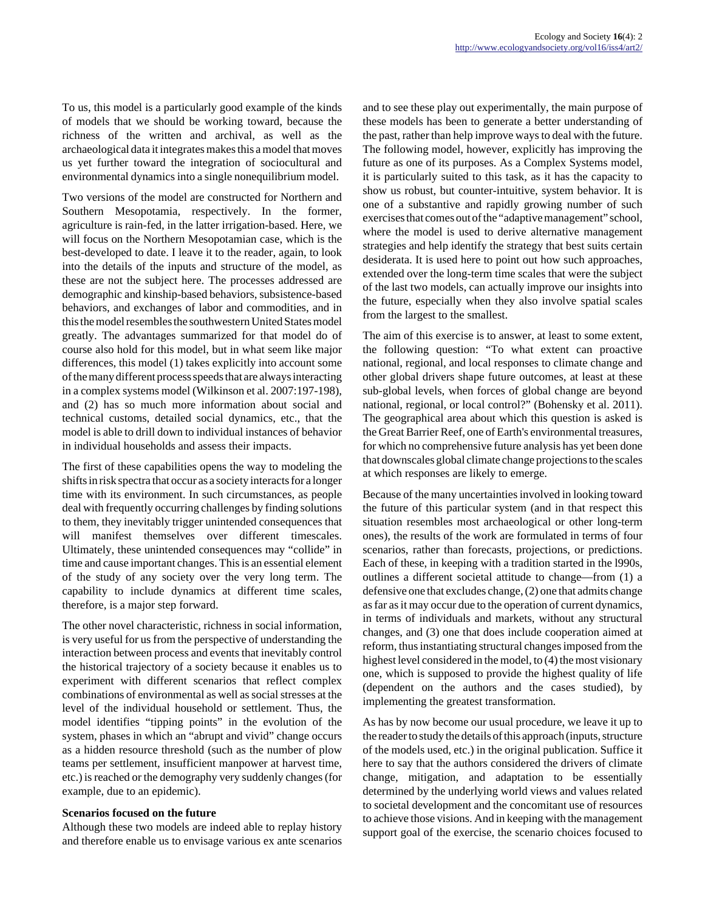To us, this model is a particularly good example of the kinds of models that we should be working toward, because the richness of the written and archival, as well as the archaeological data it integrates makes this a model that moves us yet further toward the integration of sociocultural and environmental dynamics into a single nonequilibrium model.

Two versions of the model are constructed for Northern and Southern Mesopotamia, respectively. In the former, agriculture is rain-fed, in the latter irrigation-based. Here, we will focus on the Northern Mesopotamian case, which is the best-developed to date. I leave it to the reader, again, to look into the details of the inputs and structure of the model, as these are not the subject here. The processes addressed are demographic and kinship-based behaviors, subsistence-based behaviors, and exchanges of labor and commodities, and in this the model resembles the southwestern United States model greatly. The advantages summarized for that model do of course also hold for this model, but in what seem like major differences, this model (1) takes explicitly into account some of the many different process speeds that are always interacting in a complex systems model (Wilkinson et al. 2007:197-198), and (2) has so much more information about social and technical customs, detailed social dynamics, etc., that the model is able to drill down to individual instances of behavior in individual households and assess their impacts.

The first of these capabilities opens the way to modeling the shifts in risk spectra that occur as a society interacts for a longer time with its environment. In such circumstances, as people deal with frequently occurring challenges by finding solutions to them, they inevitably trigger unintended consequences that will manifest themselves over different timescales. Ultimately, these unintended consequences may "collide" in time and cause important changes. This is an essential element of the study of any society over the very long term. The capability to include dynamics at different time scales, therefore, is a major step forward.

The other novel characteristic, richness in social information, is very useful for us from the perspective of understanding the interaction between process and events that inevitably control the historical trajectory of a society because it enables us to experiment with different scenarios that reflect complex combinations of environmental as well as social stresses at the level of the individual household or settlement. Thus, the model identifies "tipping points" in the evolution of the system, phases in which an "abrupt and vivid" change occurs as a hidden resource threshold (such as the number of plow teams per settlement, insufficient manpower at harvest time, etc.) is reached or the demography very suddenly changes (for example, due to an epidemic).

## **Scenarios focused on the future**

Although these two models are indeed able to replay history and therefore enable us to envisage various ex ante scenarios and to see these play out experimentally, the main purpose of these models has been to generate a better understanding of the past, rather than help improve ways to deal with the future. The following model, however, explicitly has improving the future as one of its purposes. As a Complex Systems model, it is particularly suited to this task, as it has the capacity to show us robust, but counter-intuitive, system behavior. It is one of a substantive and rapidly growing number of such exercises that comes out of the "adaptive management" school, where the model is used to derive alternative management strategies and help identify the strategy that best suits certain desiderata. It is used here to point out how such approaches, extended over the long-term time scales that were the subject of the last two models, can actually improve our insights into the future, especially when they also involve spatial scales from the largest to the smallest.

The aim of this exercise is to answer, at least to some extent, the following question: "To what extent can proactive national, regional, and local responses to climate change and other global drivers shape future outcomes, at least at these sub-global levels, when forces of global change are beyond national, regional, or local control?" (Bohensky et al. 2011). The geographical area about which this question is asked is the Great Barrier Reef, one of Earth's environmental treasures, for which no comprehensive future analysis has yet been done that downscales global climate change projections to the scales at which responses are likely to emerge.

Because of the many uncertainties involved in looking toward the future of this particular system (and in that respect this situation resembles most archaeological or other long-term ones), the results of the work are formulated in terms of four scenarios, rather than forecasts, projections, or predictions. Each of these, in keeping with a tradition started in the l990s, outlines a different societal attitude to change—from (1) a defensive one that excludes change, (2) one that admits change as far as it may occur due to the operation of current dynamics, in terms of individuals and markets, without any structural changes, and (3) one that does include cooperation aimed at reform, thus instantiating structural changes imposed from the highest level considered in the model, to (4) the most visionary one, which is supposed to provide the highest quality of life (dependent on the authors and the cases studied), by implementing the greatest transformation.

As has by now become our usual procedure, we leave it up to the reader to study the details of this approach (inputs, structure of the models used, etc.) in the original publication. Suffice it here to say that the authors considered the drivers of climate change, mitigation, and adaptation to be essentially determined by the underlying world views and values related to societal development and the concomitant use of resources to achieve those visions. And in keeping with the management support goal of the exercise, the scenario choices focused to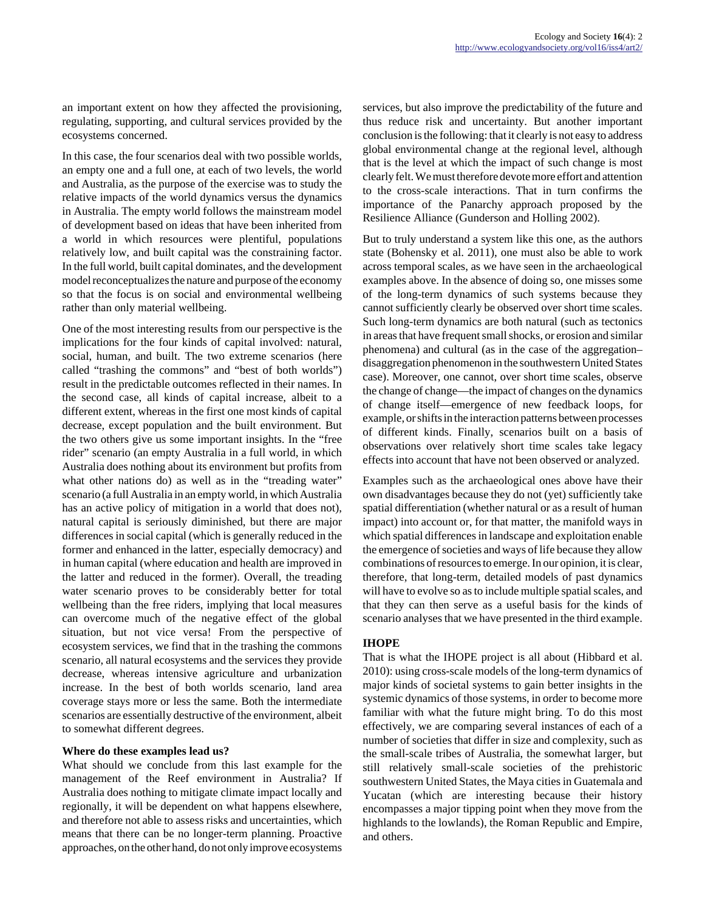an important extent on how they affected the provisioning, regulating, supporting, and cultural services provided by the ecosystems concerned.

In this case, the four scenarios deal with two possible worlds, an empty one and a full one, at each of two levels, the world and Australia, as the purpose of the exercise was to study the relative impacts of the world dynamics versus the dynamics in Australia. The empty world follows the mainstream model of development based on ideas that have been inherited from a world in which resources were plentiful, populations relatively low, and built capital was the constraining factor. In the full world, built capital dominates, and the development model reconceptualizes the nature and purpose of the economy so that the focus is on social and environmental wellbeing rather than only material wellbeing.

One of the most interesting results from our perspective is the implications for the four kinds of capital involved: natural, social, human, and built. The two extreme scenarios (here called "trashing the commons" and "best of both worlds") result in the predictable outcomes reflected in their names. In the second case, all kinds of capital increase, albeit to a different extent, whereas in the first one most kinds of capital decrease, except population and the built environment. But the two others give us some important insights. In the "free rider" scenario (an empty Australia in a full world, in which Australia does nothing about its environment but profits from what other nations do) as well as in the "treading water" scenario (a full Australia in an empty world, in which Australia has an active policy of mitigation in a world that does not), natural capital is seriously diminished, but there are major differences in social capital (which is generally reduced in the former and enhanced in the latter, especially democracy) and in human capital (where education and health are improved in the latter and reduced in the former). Overall, the treading water scenario proves to be considerably better for total wellbeing than the free riders, implying that local measures can overcome much of the negative effect of the global situation, but not vice versa! From the perspective of ecosystem services, we find that in the trashing the commons scenario, all natural ecosystems and the services they provide decrease, whereas intensive agriculture and urbanization increase. In the best of both worlds scenario, land area coverage stays more or less the same. Both the intermediate scenarios are essentially destructive of the environment, albeit to somewhat different degrees.

## **Where do these examples lead us?**

What should we conclude from this last example for the management of the Reef environment in Australia? If Australia does nothing to mitigate climate impact locally and regionally, it will be dependent on what happens elsewhere, and therefore not able to assess risks and uncertainties, which means that there can be no longer-term planning. Proactive approaches, on the other hand, do not only improve ecosystems services, but also improve the predictability of the future and thus reduce risk and uncertainty. But another important conclusion is the following: that it clearly is not easy to address global environmental change at the regional level, although that is the level at which the impact of such change is most clearly felt. We must therefore devote more effort and attention to the cross-scale interactions. That in turn confirms the importance of the Panarchy approach proposed by the Resilience Alliance (Gunderson and Holling 2002).

But to truly understand a system like this one, as the authors state (Bohensky et al. 2011), one must also be able to work across temporal scales, as we have seen in the archaeological examples above. In the absence of doing so, one misses some of the long-term dynamics of such systems because they cannot sufficiently clearly be observed over short time scales. Such long-term dynamics are both natural (such as tectonics in areas that have frequent small shocks, or erosion and similar phenomena) and cultural (as in the case of the aggregation– disaggregation phenomenon in the southwestern United States case). Moreover, one cannot, over short time scales, observe the change of change—the impact of changes on the dynamics of change itself—emergence of new feedback loops, for example, or shifts in the interaction patterns between processes of different kinds. Finally, scenarios built on a basis of observations over relatively short time scales take legacy effects into account that have not been observed or analyzed.

Examples such as the archaeological ones above have their own disadvantages because they do not (yet) sufficiently take spatial differentiation (whether natural or as a result of human impact) into account or, for that matter, the manifold ways in which spatial differences in landscape and exploitation enable the emergence of societies and ways of life because they allow combinations of resources to emerge. In our opinion, it is clear, therefore, that long-term, detailed models of past dynamics will have to evolve so as to include multiple spatial scales, and that they can then serve as a useful basis for the kinds of scenario analyses that we have presented in the third example.

## **IHOPE**

That is what the IHOPE project is all about (Hibbard et al. 2010): using cross-scale models of the long-term dynamics of major kinds of societal systems to gain better insights in the systemic dynamics of those systems, in order to become more familiar with what the future might bring. To do this most effectively, we are comparing several instances of each of a number of societies that differ in size and complexity, such as the small-scale tribes of Australia, the somewhat larger, but still relatively small-scale societies of the prehistoric southwestern United States, the Maya cities in Guatemala and Yucatan (which are interesting because their history encompasses a major tipping point when they move from the highlands to the lowlands), the Roman Republic and Empire, and others.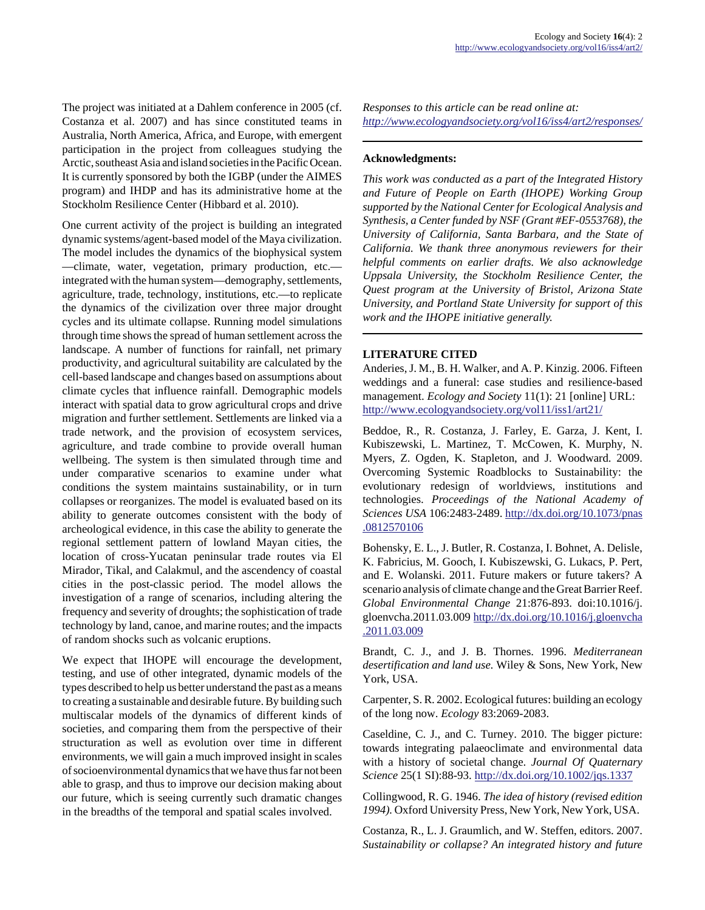The project was initiated at a Dahlem conference in 2005 (cf. Costanza et al. 2007) and has since constituted teams in Australia, North America, Africa, and Europe, with emergent participation in the project from colleagues studying the Arctic, southeast Asia and island societies in the Pacific Ocean. It is currently sponsored by both the IGBP (under the AIMES program) and IHDP and has its administrative home at the Stockholm Resilience Center (Hibbard et al. 2010).

One current activity of the project is building an integrated dynamic systems/agent-based model of the Maya civilization. The model includes the dynamics of the biophysical system —climate, water, vegetation, primary production, etc. integrated with the human system—demography, settlements, agriculture, trade, technology, institutions, etc.—to replicate the dynamics of the civilization over three major drought cycles and its ultimate collapse. Running model simulations through time shows the spread of human settlement across the landscape. A number of functions for rainfall, net primary productivity, and agricultural suitability are calculated by the cell-based landscape and changes based on assumptions about climate cycles that influence rainfall. Demographic models interact with spatial data to grow agricultural crops and drive migration and further settlement. Settlements are linked via a trade network, and the provision of ecosystem services, agriculture, and trade combine to provide overall human wellbeing. The system is then simulated through time and under comparative scenarios to examine under what conditions the system maintains sustainability, or in turn collapses or reorganizes. The model is evaluated based on its ability to generate outcomes consistent with the body of archeological evidence, in this case the ability to generate the regional settlement pattern of lowland Mayan cities, the location of cross-Yucatan peninsular trade routes via El Mirador, Tikal, and Calakmul, and the ascendency of coastal cities in the post-classic period. The model allows the investigation of a range of scenarios, including altering the frequency and severity of droughts; the sophistication of trade technology by land, canoe, and marine routes; and the impacts of random shocks such as volcanic eruptions.

We expect that IHOPE will encourage the development, testing, and use of other integrated, dynamic models of the types described to help us better understand the past as a means to creating a sustainable and desirable future. By building such multiscalar models of the dynamics of different kinds of societies, and comparing them from the perspective of their structuration as well as evolution over time in different environments, we will gain a much improved insight in scales of socioenvironmental dynamics that we have thus far not been able to grasp, and thus to improve our decision making about our future, which is seeing currently such dramatic changes in the breadths of the temporal and spatial scales involved.

*Responses to this article can be read online at: <http://www.ecologyandsociety.org/vol16/iss4/art2/responses/>*

#### **Acknowledgments:**

*This work was conducted as a part of the Integrated History and Future of People on Earth (IHOPE) Working Group supported by the National Center for Ecological Analysis and Synthesis, a Center funded by NSF (Grant #EF-0553768), the University of California, Santa Barbara, and the State of California. We thank three anonymous reviewers for their helpful comments on earlier drafts. We also acknowledge Uppsala University, the Stockholm Resilience Center, the Quest program at the University of Bristol, Arizona State University, and Portland State University for support of this work and the IHOPE initiative generally.*

#### **LITERATURE CITED**

Anderies, J. M., B. H. Walker, and A. P. Kinzig. 2006. Fifteen weddings and a funeral: case studies and resilience-based management. *Ecology and Society* 11(1): 21 [online] URL: <http://www.ecologyandsociety.org/vol11/iss1/art21/>

Beddoe, R., R. Costanza, J. Farley, E. Garza, J. Kent, I. Kubiszewski, L. Martinez, T. McCowen, K. Murphy, N. Myers, Z. Ogden, K. Stapleton, and J. Woodward. 2009. Overcoming Systemic Roadblocks to Sustainability: the evolutionary redesign of worldviews, institutions and technologies. *Proceedings of the National Academy of Sciences USA* 106:2483-2489. [http://dx.doi.org/10.1073/pnas](http://dx.doi.org/10.1073/pnas.0812570106) [.0812570106](http://dx.doi.org/10.1073/pnas.0812570106) 

Bohensky, E. L., J. Butler, R. Costanza, I. Bohnet, A. Delisle, K. Fabricius, M. Gooch, I. Kubiszewski, G. Lukacs, P. Pert, and E. Wolanski. 2011. Future makers or future takers? A scenario analysis of climate change and the Great Barrier Reef. *Global Environmental Change* 21:876-893. doi:10.1016/j. gloenvcha.2011.03.009 [http://dx.doi.org/10.1016/j.gloenvcha](http://dx.doi.org/10.1016/j.gloenvcha.2011.03.009) [.2011.03.009](http://dx.doi.org/10.1016/j.gloenvcha.2011.03.009)

Brandt, C. J., and J. B. Thornes. 1996. *Mediterranean desertification and land use.* Wiley & Sons, New York, New York, USA.

Carpenter, S. R. 2002. Ecological futures: building an ecology of the long now. *Ecology* 83:2069-2083.

Caseldine, C. J., and C. Turney. 2010. The bigger picture: towards integrating palaeoclimate and environmental data with a history of societal change. *Journal Of Quaternary Science* 25(1 SI):88-93.<http://dx.doi.org/10.1002/jqs.1337>

Collingwood, R. G. 1946. *The idea of history (revised edition 1994).* Oxford University Press, New York, New York, USA.

Costanza, R., L. J. Graumlich, and W. Steffen, editors. 2007. *Sustainability or collapse? An integrated history and future*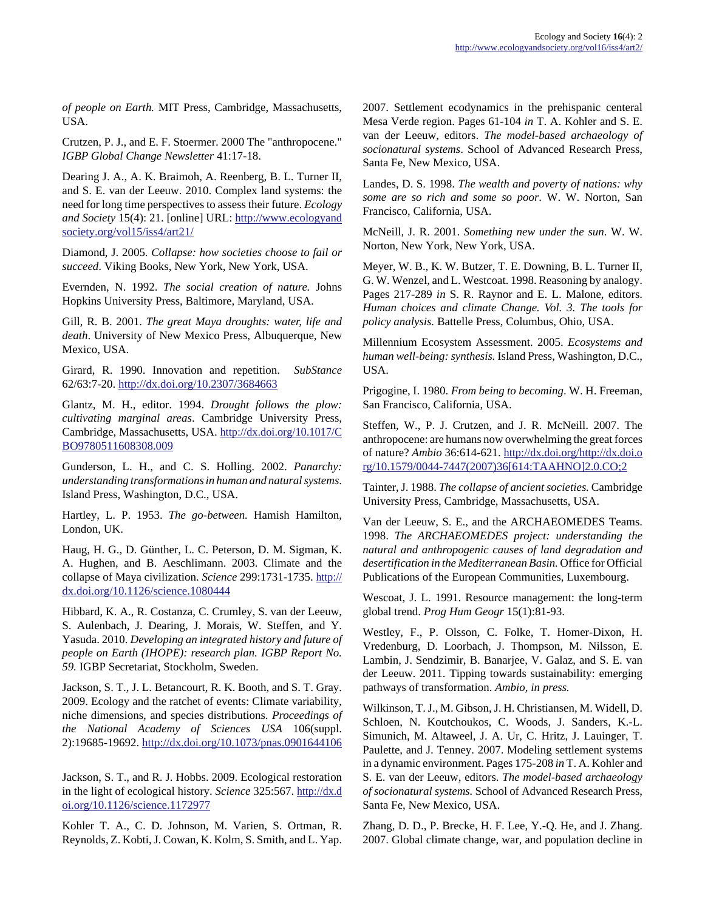*of people on Earth.* MIT Press, Cambridge, Massachusetts, USA.

Crutzen, P. J., and E. F. Stoermer. 2000 The "anthropocene." *IGBP Global Change Newsletter* 41:17-18.

Dearing J. A., A. K. Braimoh, A. Reenberg, B. L. Turner II, and S. E. van der Leeuw. 2010. Complex land systems: the need for long time perspectives to assess their future. *Ecology and Society* 15(4): 21. [online] URL: [http://www.ecologyand](http://www.ecologyandsociety.org/vol15/iss4/art21/) [society.org/vol15/iss4/art21/](http://www.ecologyandsociety.org/vol15/iss4/art21/)

Diamond, J. 2005. *Collapse: how societies choose to fail or succeed*. Viking Books, New York, New York, USA.

Evernden, N. 1992. *The social creation of nature.* Johns Hopkins University Press, Baltimore, Maryland, USA.

Gill, R. B. 2001. *The great Maya droughts: water, life and death*. University of New Mexico Press, Albuquerque, New Mexico, USA.

Girard, R. 1990. Innovation and repetition. *SubStance* 62/63:7-20. <http://dx.doi.org/10.2307/3684663>

Glantz, M. H., editor. 1994. *Drought follows the plow: cultivating marginal areas*. Cambridge University Press, Cambridge, Massachusetts, USA. [http://dx.doi.org/10.1017/C](http://dx.doi.org/10.1017/CBO9780511608308.009) [BO9780511608308.009](http://dx.doi.org/10.1017/CBO9780511608308.009)

Gunderson, L. H., and C. S. Holling. 2002. *Panarchy: understanding transformations in human and natural systems*. Island Press, Washington, D.C., USA.

Hartley, L. P. 1953. *The go-between.* Hamish Hamilton, London, UK.

Haug, H. G., D. Günther, L. C. Peterson, D. M. Sigman, K. A. Hughen, and B. Aeschlimann. 2003. Climate and the collapse of Maya civilization. *Science* 299:1731-1735. [http://](http://dx.doi.org/10.1126/science.1080444) [dx.doi.org/10.1126/science.1080444](http://dx.doi.org/10.1126/science.1080444)

Hibbard, K. A., R. Costanza, C. Crumley, S. van der Leeuw, S. Aulenbach, J. Dearing, J. Morais, W. Steffen, and Y. Yasuda. 2010. *Developing an integrated history and future of people on Earth (IHOPE): research plan. IGBP Report No. 59.* IGBP Secretariat, Stockholm, Sweden.

Jackson, S. T., J. L. Betancourt, R. K. Booth, and S. T. Gray. 2009. Ecology and the ratchet of events: Climate variability, niche dimensions, and species distributions. *Proceedings of the National Academy of Sciences USA* 106(suppl. 2):19685-19692.<http://dx.doi.org/10.1073/pnas.0901644106>

Jackson, S. T., and R. J. Hobbs. 2009. Ecological restoration in the light of ecological history. *Science* 325:567. [http://dx.d](http://dx.doi.org/10.1126/science.1172977) [oi.org/10.1126/science.1172977](http://dx.doi.org/10.1126/science.1172977)

Kohler T. A., C. D. Johnson, M. Varien, S. Ortman, R. Reynolds, Z. Kobti, J. Cowan, K. Kolm, S. Smith, and L. Yap. 2007. Settlement ecodynamics in the prehispanic centeral Mesa Verde region. Pages 61-104 *in* T. A. Kohler and S. E. van der Leeuw, editors. *The model-based archaeology of socionatural systems*. School of Advanced Research Press, Santa Fe, New Mexico, USA.

Landes, D. S. 1998. *The wealth and poverty of nations: why some are so rich and some so poor*. W. W. Norton, San Francisco, California, USA.

McNeill, J. R. 2001. *Something new under the sun*. W. W. Norton, New York, New York, USA.

Meyer, W. B., K. W. Butzer, T. E. Downing, B. L. Turner II, G. W. Wenzel, and L. Westcoat. 1998. Reasoning by analogy. Pages 217-289 *in* S. R. Raynor and E. L. Malone, editors. *Human choices and climate Change. Vol. 3. The tools for policy analysis.* Battelle Press, Columbus, Ohio, USA.

Millennium Ecosystem Assessment. 2005. *Ecosystems and human well-being: synthesis.* Island Press, Washington, D.C., USA.

Prigogine, I. 1980. *From being to becoming*. W. H. Freeman, San Francisco, California, USA.

Steffen, W., P. J. Crutzen, and J. R. McNeill. 2007. The anthropocene: are humans now overwhelming the great forces of nature? *Ambio* 36:614-621. [http://dx.doi.org/http://dx.doi.o](http://dx.doi.org/http://dx.doi.org/10.1579/0044-7447(2007)36[614:TAAHNO]2.0.CO;2) [rg/10.1579/0044-7447\(2007\)36\[614:TAAHNO\]2.0.CO;2](http://dx.doi.org/http://dx.doi.org/10.1579/0044-7447(2007)36[614:TAAHNO]2.0.CO;2)

Tainter, J. 1988. *The collapse of ancient societies.* Cambridge University Press, Cambridge, Massachusetts, USA.

Van der Leeuw, S. E., and the ARCHAEOMEDES Teams. 1998. *The ARCHAEOMEDES project: understanding the natural and anthropogenic causes of land degradation and desertification in the Mediterranean Basin.* Office for Official Publications of the European Communities, Luxembourg.

Wescoat, J. L. 1991. Resource management: the long-term global trend. *Prog Hum Geogr* 15(1):81-93.

Westley, F., P. Olsson, C. Folke, T. Homer-Dixon, H. Vredenburg, D. Loorbach, J. Thompson, M. Nilsson, E. Lambin, J. Sendzimir, B. Banarjee, V. Galaz, and S. E. van der Leeuw. 2011. Tipping towards sustainability: emerging pathways of transformation. *Ambio, in press.*

Wilkinson, T. J., M. Gibson, J. H. Christiansen, M. Widell, D. Schloen, N. Koutchoukos, C. Woods, J. Sanders, K.-L. Simunich, M. Altaweel, J. A. Ur, C. Hritz, J. Lauinger, T. Paulette, and J. Tenney. 2007. Modeling settlement systems in a dynamic environment. Pages 175-208 *in* T. A. Kohler and S. E. van der Leeuw, editors. *The model-based archaeology of socionatural systems.* School of Advanced Research Press, Santa Fe, New Mexico, USA.

Zhang, D. D., P. Brecke, H. F. Lee, Y.-Q. He, and J. Zhang. 2007. Global climate change, war, and population decline in